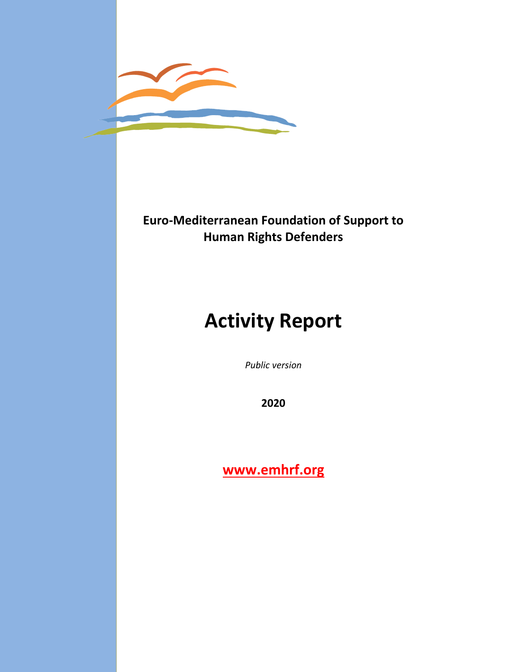

## **Euro-Mediterranean Foundation of Support to Human Rights Defenders**

# **Activity Report**

*Public version*

**2020**

**[www.emhrf.org](http://www.emhrf.org/)**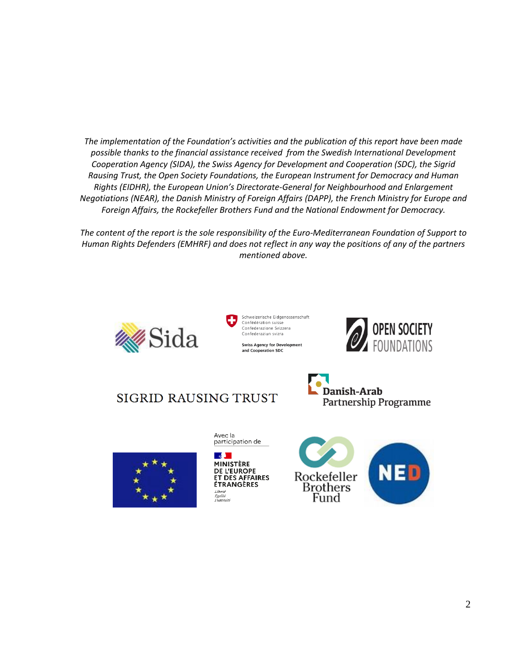*The implementation of the Foundation's activities and the publication of this report have been made possible thanks to the financial assistance received from the Swedish International Development Cooperation Agency (SIDA), the Swiss Agency for Development and Cooperation (SDC), the Sigrid Rausing Trust, the Open Society Foundations, the European Instrument for Democracy and Human Rights (EIDHR), the European Union's Directorate-General for Neighbourhood and Enlargement Negotiations (NEAR), the Danish Ministry of Foreign Affairs (DAPP), the French Ministry for Europe and Foreign Affairs, the Rockefeller Brothers Fund and the National Endowment for Democracy.*

*The content of the report is the sole responsibility of the Euro-Mediterranean Foundation of Support to Human Rights Defenders (EMHRF) and does not reflect in any way the positions of any of the partners mentioned above.*











Avec la participation de

 $\mathbb{R}$ **MINISTÈRE** DE L'EUROPE ET DES AFFAIRES **ÉTRANGÈRES** Liberté<br>Égalité<br>Fraternité

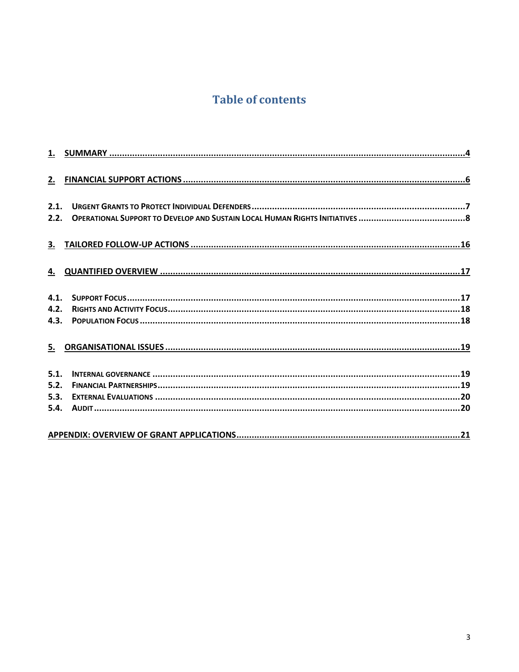## **Table of contents**

| 2.1.<br>2.2.         |  |
|----------------------|--|
|                      |  |
|                      |  |
| 4.1.<br>4.2.         |  |
|                      |  |
| 5.1.<br>5.2.<br>5.3. |  |
|                      |  |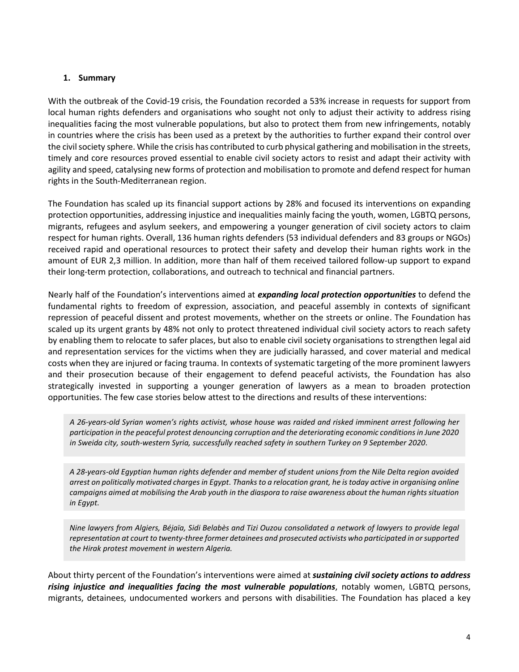#### <span id="page-3-0"></span>**1. Summary**

With the outbreak of the Covid-19 crisis, the Foundation recorded a 53% increase in requests for support from local human rights defenders and organisations who sought not only to adjust their activity to address rising inequalities facing the most vulnerable populations, but also to protect them from new infringements, notably in countries where the crisis has been used as a pretext by the authorities to further expand their control over the civil society sphere. While the crisis has contributed to curb physical gathering and mobilisation in the streets, timely and core resources proved essential to enable civil society actors to resist and adapt their activity with agility and speed, catalysing new forms of protection and mobilisation to promote and defend respect for human rights in the South-Mediterranean region.

The Foundation has scaled up its financial support actions by 28% and focused its interventions on expanding protection opportunities, addressing injustice and inequalities mainly facing the youth, women, LGBTQ persons, migrants, refugees and asylum seekers, and empowering a younger generation of civil society actors to claim respect for human rights. Overall, 136 human rights defenders (53 individual defenders and 83 groups or NGOs) received rapid and operational resources to protect their safety and develop their human rights work in the amount of EUR 2,3 million. In addition, more than half of them received tailored follow-up support to expand their long-term protection, collaborations, and outreach to technical and financial partners.

Nearly half of the Foundation's interventions aimed at *expanding local protection opportunities* to defend the fundamental rights to freedom of expression, association, and peaceful assembly in contexts of significant repression of peaceful dissent and protest movements, whether on the streets or online. The Foundation has scaled up its urgent grants by 48% not only to protect threatened individual civil society actors to reach safety by enabling them to relocate to safer places, but also to enable civil society organisations to strengthen legal aid and representation services for the victims when they are judicially harassed, and cover material and medical costs when they are injured or facing trauma. In contexts of systematic targeting of the more prominent lawyers and their prosecution because of their engagement to defend peaceful activists, the Foundation has also strategically invested in supporting a younger generation of lawyers as a mean to broaden protection opportunities. The few case stories below attest to the directions and results of these interventions:

*A 26-years-old Syrian women's rights activist, whose house was raided and risked imminent arrest following her participation in the peaceful protest denouncing corruption and the deteriorating economic conditions in June 2020 in Sweida city, south-western Syria, successfully reached safety in southern Turkey on 9 September 2020.*

*A 28-years-old Egyptian human rights defender and member of student unions from the Nile Delta region avoided arrest on politically motivated charges in Egypt. Thanks to a relocation grant, he is today active in organising online campaigns aimed at mobilising the Arab youth in the diaspora to raise awareness about the human rights situation in Egypt.*

*Nine lawyers from Algiers, Béjaïa, Sidi Belabès and Tizi Ouzou consolidated a network of lawyers to provide legal representation at court to twenty-three former detainees and prosecuted activists who participated in or supported the Hirak protest movement in western Algeria.*

About thirty percent of the Foundation's interventions were aimed at *sustaining civil society actions to address rising injustice and inequalities facing the most vulnerable populations*, notably women, LGBTQ persons, migrants, detainees, undocumented workers and persons with disabilities. The Foundation has placed a key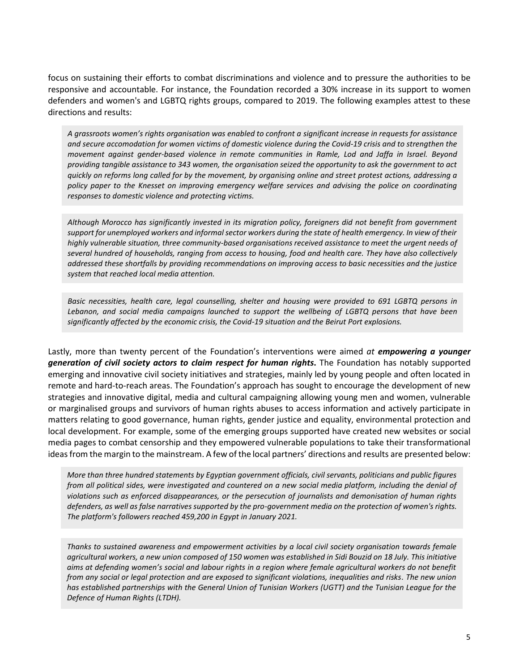focus on sustaining their efforts to combat discriminations and violence and to pressure the authorities to be responsive and accountable. For instance, the Foundation recorded a 30% increase in its support to women defenders and women's and LGBTQ rights groups, compared to 2019. The following examples attest to these directions and results:

*A grassroots women's rights organisation was enabled to confront a significant increase in requests for assistance and secure accomodation for women victims of domestic violence during the Covid-19 crisis and to strengthen the movement against gender-based violence in remote communities in Ramle, Lod and Jaffa in Israel. Beyond providing tangible assistance to 343 women, the organisation seized the opportunity to ask the government to act quickly on reforms long called for by the movement, by organising online and street protest actions, addressing a policy paper to the Knesset on improving emergency welfare services and advising the police on coordinating responses to domestic violence and protecting victims.*

*Although Morocco has significantly invested in its migration policy, foreigners did not benefit from government support for unemployed workers and informal sector workers during the state of health emergency. In view of their highly vulnerable situation, three community-based organisations received assistance to meet the urgent needs of several hundred of households, ranging from access to housing, food and health care. They have also collectively addressed these shortfalls by providing recommendations on improving access to basic necessities and the justice system that reached local media attention.*

*Basic necessities, health care, legal counselling, shelter and housing were provided to 691 LGBTQ persons in Lebanon, and social media campaigns launched to support the wellbeing of LGBTQ persons that have been significantly affected by the economic crisis, the Covid-19 situation and the Beirut Port explosions.*

Lastly, more than twenty percent of the Foundation's interventions were aimed *at empowering a younger generation of civil society actors to claim respect for human rights***.** The Foundation has notably supported emerging and innovative civil society initiatives and strategies, mainly led by young people and often located in remote and hard-to-reach areas. The Foundation's approach has sought to encourage the development of new strategies and innovative digital, media and cultural campaigning allowing young men and women, vulnerable or marginalised groups and survivors of human rights abuses to access information and actively participate in matters relating to good governance, human rights, gender justice and equality, environmental protection and local development. For example, some of the emerging groups supported have created new websites or social media pages to combat censorship and they empowered vulnerable populations to take their transformational ideas from the margin to the mainstream. A few of the local partners' directions and results are presented below:

*More than three hundred statements by Egyptian government officials, civil servants, politicians and public figures from all political sides, were investigated and countered on a new social media platform, including the denial of violations such as enforced disappearances, or the persecution of journalists and demonisation of human rights defenders, as well as false narratives supported by the pro-government media on the protection of women's rights. The platform's followers reached 459,200 in Egypt in January 2021.*

*Thanks to sustained awareness and empowerment activities by a local civil society organisation towards female agricultural workers, a new union composed of 150 women was established in Sidi Bouzid on 18 July. This initiative aims at defending women's social and labour rights in a region where female agricultural workers do not benefit from any social or legal protection and are exposed to significant violations, inequalities and risks. The new union has established partnerships with the General Union of Tunisian Workers (UGTT) and the Tunisian League for the Defence of Human Rights (LTDH).*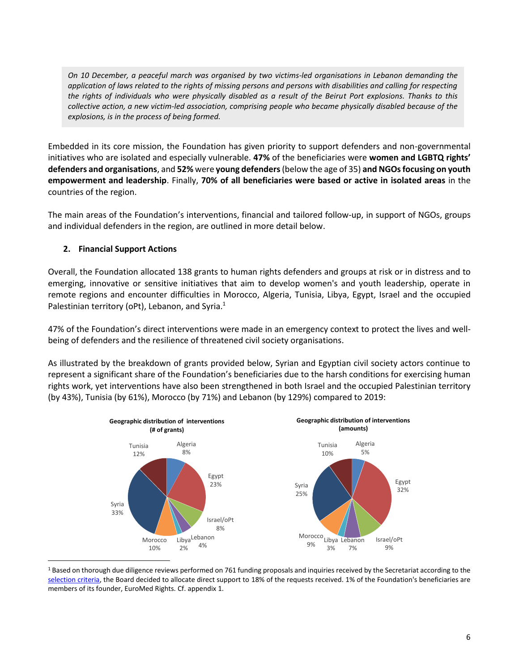*On 10 December, a peaceful march was organised by two victims-led organisations in Lebanon demanding the application of laws related to the rights of missing persons and persons with disabilities and calling for respecting the rights of individuals who were physically disabled as a result of the Beirut Port explosions. Thanks to this collective action, a new victim-led association, comprising people who became physically disabled because of the explosions, is in the process of being formed.*

Embedded in its core mission, the Foundation has given priority to support defenders and non-governmental initiatives who are isolated and especially vulnerable. **47%** of the beneficiaries were **women and LGBTQ rights' defenders and organisations**, and **52%** were **young defenders**(below the age of 35) **and NGOs focusing on youth empowerment and leadership**. Finally, **70% of all beneficiaries were based or active in isolated areas** in the countries of the region.

The main areas of the Foundation's interventions, financial and tailored follow-up, in support of NGOs, groups and individual defenders in the region, are outlined in more detail below.

#### <span id="page-5-0"></span>**2. Financial Support Actions**

Overall, the Foundation allocated 138 grants to human rights defenders and groups at risk or in distress and to emerging, innovative or sensitive initiatives that aim to develop women's and youth leadership, operate in remote regions and encounter difficulties in Morocco, Algeria, Tunisia, Libya, Egypt, Israel and the occupied Palestinian territory (oPt), Lebanon, and Syria.<sup>1</sup>

47% of the Foundation's direct interventions were made in an emergency context to protect the lives and wellbeing of defenders and the resilience of threatened civil society organisations.

As illustrated by the breakdown of grants provided below, Syrian and Egyptian civil society actors continue to represent a significant share of the Foundation's beneficiaries due to the harsh conditions for exercising human rights work, yet interventions have also been strengthened in both Israel and the occupied Palestinian territory (by 43%), Tunisia (by 61%), Morocco (by 71%) and Lebanon (by 129%) compared to 2019:



<sup>&</sup>lt;sup>1</sup> Based on thorough due diligence reviews performed on 761 funding proposals and inquiries received by the Secretariat according to the [selection criteria,](http://emhrf.org/criteria/) the Board decided to allocate direct support to 18% of the requests received. 1% of the Foundation's beneficiaries are members of its founder, EuroMed Rights. Cf. appendix 1.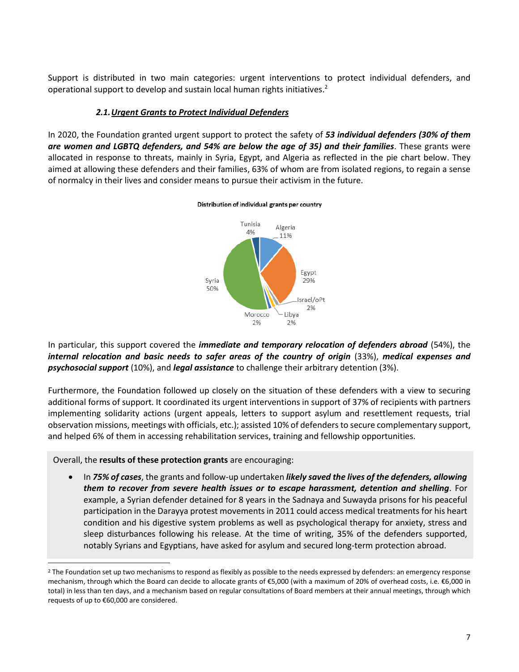Support is distributed in two main categories: urgent interventions to protect individual defenders, and operational support to develop and sustain local human rights initiatives.<sup>2</sup>

#### *2.1.Urgent Grants to Protect Individual Defenders*

<span id="page-6-0"></span>In 2020, the Foundation granted urgent support to protect the safety of *53 individual defenders (30% of them are women and LGBTQ defenders, and 54% are below the age of 35) and their families*. These grants were allocated in response to threats, mainly in Syria, Egypt, and Algeria as reflected in the pie chart below. They aimed at allowing these defenders and their families, 63% of whom are from isolated regions, to regain a sense of normalcy in their lives and consider means to pursue their activism in the future.



#### Distribution of individual grants per country

In particular, this support covered the *immediate and temporary relocation of defenders abroad* (54%), the *internal relocation and basic needs to safer areas of the country of origin* (33%), *medical expenses and psychosocial support* (10%), and *legal assistance* to challenge their arbitrary detention (3%).

Furthermore, the Foundation followed up closely on the situation of these defenders with a view to securing additional forms of support. It coordinated its urgent interventions in support of 37% of recipients with partners implementing solidarity actions (urgent appeals, letters to support asylum and resettlement requests, trial observation missions, meetings with officials, etc.); assisted 10% of defenders to secure complementary support, and helped 6% of them in accessing rehabilitation services, training and fellowship opportunities.

Overall, the **results of these protection grants** are encouraging:

• In *75% of cases*, the grants and follow-up undertaken *likely saved the lives of the defenders, allowing them to recover from severe health issues or to escape harassment, detention and shelling*. For example, a Syrian defender detained for 8 years in the Sadnaya and Suwayda prisons for his peaceful participation in the Darayya protest movements in 2011 could access medical treatments for his heart condition and his digestive system problems as well as psychological therapy for anxiety, stress and sleep disturbances following his release. At the time of writing, 35% of the defenders supported, notably Syrians and Egyptians, have asked for asylum and secured long-term protection abroad.

<sup>&</sup>lt;sup>2</sup> The Foundation set up two mechanisms to respond as flexibly as possible to the needs expressed by defenders: an emergency response mechanism, through which the Board can decide to allocate grants of €5,000 (with a maximum of 20% of overhead costs, i.e. €6,000 in total) in less than ten days, and a mechanism based on regular consultations of Board members at their annual meetings, through which requests of up to €60,000 are considered.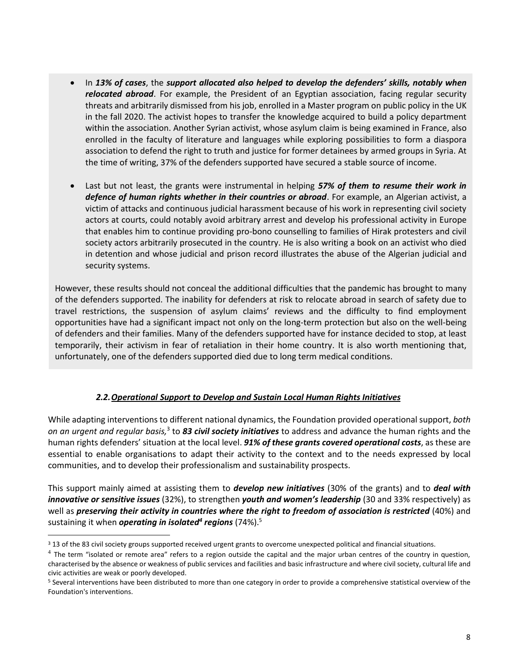- In *13% of cases*, the *support allocated also helped to develop the defenders' skills, notably when relocated abroad*. For example, the President of an Egyptian association, facing regular security threats and arbitrarily dismissed from his job, enrolled in a Master program on public policy in the UK in the fall 2020. The activist hopes to transfer the knowledge acquired to build a policy department within the association. Another Syrian activist, whose asylum claim is being examined in France, also enrolled in the faculty of literature and languages while exploring possibilities to form a diaspora association to defend the right to truth and justice for former detainees by armed groups in Syria. At the time of writing, 37% of the defenders supported have secured a stable source of income.
- Last but not least, the grants were instrumental in helping *57% of them to resume their work in defence of human rights whether in their countries or abroad*. For example, an Algerian activist, a victim of attacks and continuous judicial harassment because of his work in representing civil society actors at courts, could notably avoid arbitrary arrest and develop his professional activity in Europe that enables him to continue providing pro-bono counselling to families of Hirak protesters and civil society actors arbitrarily prosecuted in the country. He is also writing a book on an activist who died in detention and whose judicial and prison record illustrates the abuse of the Algerian judicial and security systems.

However, these results should not conceal the additional difficulties that the pandemic has brought to many of the defenders supported. The inability for defenders at risk to relocate abroad in search of safety due to travel restrictions, the suspension of asylum claims' reviews and the difficulty to find employment opportunities have had a significant impact not only on the long-term protection but also on the well-being of defenders and their families. Many of the defenders supported have for instance decided to stop, at least temporarily, their activism in fear of retaliation in their home country. It is also worth mentioning that, unfortunately, one of the defenders supported died due to long term medical conditions.

#### *2.2.Operational Support to Develop and Sustain Local Human Rights Initiatives*

<span id="page-7-0"></span>While adapting interventions to different national dynamics, the Foundation provided operational support, *both*  on an urgent and regular basis,<sup>3</sup> to 83 *civil society initiatives* to address and advance the human rights and the human rights defenders' situation at the local level. *91% of these grants covered operational costs*, as these are essential to enable organisations to adapt their activity to the context and to the needs expressed by local communities, and to develop their professionalism and sustainability prospects.

This support mainly aimed at assisting them to *develop new initiatives* (30% of the grants) and to *deal with innovative or sensitive issues* (32%), to strengthen *youth and women's leadership* (30 and 33% respectively) as well as *preserving their activity in countries where the right to freedom of association is restricted* (40%) and sustaining it when *operating in isolated<sup>4</sup> regions* (74%). 5

<sup>&</sup>lt;sup>3</sup> 13 of the 83 civil society groups supported received urgent grants to overcome unexpected political and financial situations.

 $^4$  The term "isolated or remote area" refers to a region outside the capital and the major urban centres of the country in question, characterised by the absence or weakness of public services and facilities and basic infrastructure and where civil society, cultural life and civic activities are weak or poorly developed.

<sup>5</sup> Several interventions have been distributed to more than one category in order to provide a comprehensive statistical overview of the Foundation's interventions.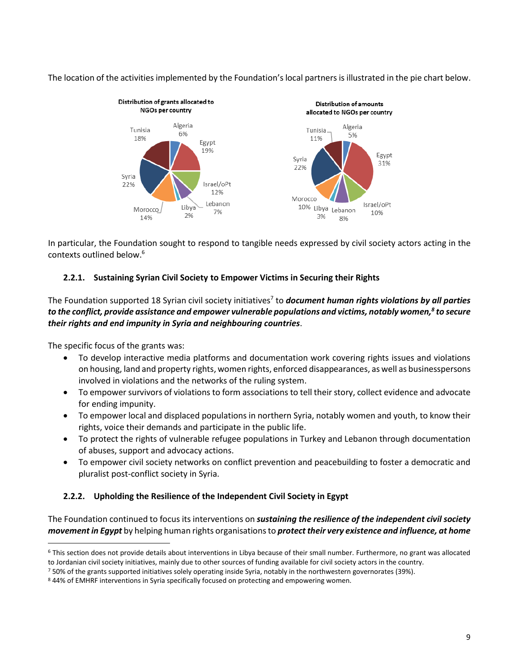The location of the activities implemented by the Foundation's local partners is illustrated in the pie chart below.



In particular, the Foundation sought to respond to tangible needs expressed by civil society actors acting in the contexts outlined below. 6

#### **2.2.1. Sustaining Syrian Civil Society to Empower Victims in Securing their Rights**

The Foundation supported 18 Syrian civil society initiatives<sup>7</sup> to *document human rights violations by all parties to the conflict, provide assistance and empower vulnerable populations and victims, notably women,<sup>8</sup> to secure their rights and end impunity in Syria and neighbouring countries*.

The specific focus of the grants was:

- To develop interactive media platforms and documentation work covering rights issues and violations on housing, land and property rights, women rights, enforced disappearances, as well as businesspersons involved in violations and the networks of the ruling system.
- To empower survivors of violations to form associations to tell their story, collect evidence and advocate for ending impunity.
- To empower local and displaced populations in northern Syria, notably women and youth, to know their rights, voice their demands and participate in the public life.
- To protect the rights of vulnerable refugee populations in Turkey and Lebanon through documentation of abuses, support and advocacy actions.
- To empower civil society networks on conflict prevention and peacebuilding to foster a democratic and pluralist post-conflict society in Syria.

#### **2.2.2. Upholding the Resilience of the Independent Civil Society in Egypt**

The Foundation continued to focus its interventions on *sustaining the resilience of the independent civil society movement in Egypt* by helping human rights organisations to *protect their very existence and influence, at home* 

<sup>6</sup> This section does not provide details about interventions in Libya because of their small number. Furthermore, no grant was allocated to Jordanian civil society initiatives, mainly due to other sources of funding available for civil society actors in the country.

 $750\%$  of the grants supported initiatives solely operating inside Syria, notably in the northwestern governorates (39%).

<sup>8</sup> 44% of EMHRF interventions in Syria specifically focused on protecting and empowering women.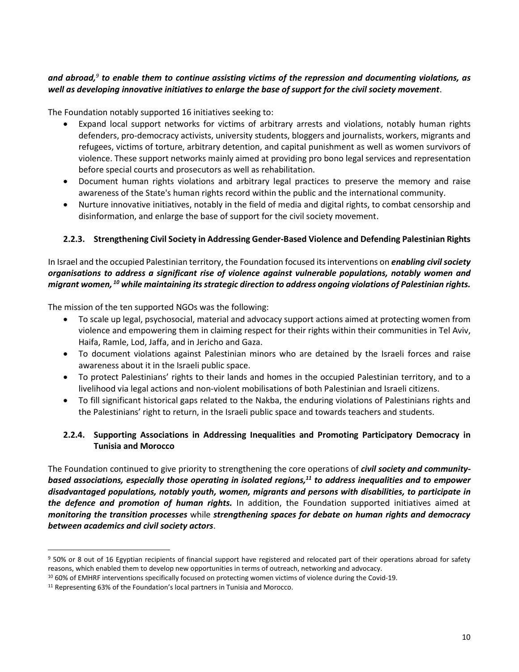#### *and abroad,<sup>9</sup> to enable them to continue assisting victims of the repression and documenting violations, as well as developing innovative initiatives to enlarge the base of support for the civil society movement*.

The Foundation notably supported 16 initiatives seeking to:

- Expand local support networks for victims of arbitrary arrests and violations, notably human rights defenders, pro-democracy activists, university students, bloggers and journalists, workers, migrants and refugees, victims of torture, arbitrary detention, and capital punishment as well as women survivors of violence. These support networks mainly aimed at providing pro bono legal services and representation before special courts and prosecutors as well as rehabilitation.
- Document human rights violations and arbitrary legal practices to preserve the memory and raise awareness of the State's human rights record within the public and the international community.
- Nurture innovative initiatives, notably in the field of media and digital rights, to combat censorship and disinformation, and enlarge the base of support for the civil society movement.

#### **2.2.3. Strengthening Civil Society in Addressing Gender-Based Violence and Defending Palestinian Rights**

#### In Israel and the occupied Palestinian territory, the Foundation focused its interventions on *enabling civil society organisations to address a significant rise of violence against vulnerable populations, notably women and migrant women, <sup>10</sup> while maintaining itsstrategic direction to address ongoing violations of Palestinian rights.*

The mission of the ten supported NGOs was the following:

- To scale up legal, psychosocial, material and advocacy support actions aimed at protecting women from violence and empowering them in claiming respect for their rights within their communities in Tel Aviv, Haifa, Ramle, Lod, Jaffa, and in Jericho and Gaza.
- To document violations against Palestinian minors who are detained by the Israeli forces and raise awareness about it in the Israeli public space.
- To protect Palestinians' rights to their lands and homes in the occupied Palestinian territory, and to a livelihood via legal actions and non-violent mobilisations of both Palestinian and Israeli citizens.
- To fill significant historical gaps related to the Nakba, the enduring violations of Palestinians rights and the Palestinians' right to return, in the Israeli public space and towards teachers and students.

#### **2.2.4. Supporting Associations in Addressing Inequalities and Promoting Participatory Democracy in Tunisia and Morocco**

The Foundation continued to give priority to strengthening the core operations of *civil society and communitybased associations, especially those operating in isolated regions, <sup>11</sup> to address inequalities and to empower disadvantaged populations, notably youth, women, migrants and persons with disabilities, to participate in the defence and promotion of human rights.* In addition, the Foundation supported initiatives aimed at *monitoring the transition processes* while *strengthening spaces for debate on human rights and democracy between academics and civil society actors*.

<sup>&</sup>lt;sup>9</sup> 50% or 8 out of 16 Egyptian recipients of financial support have registered and relocated part of their operations abroad for safety reasons, which enabled them to develop new opportunities in terms of outreach, networking and advocacy.

<sup>10</sup> 60% of EMHRF interventions specifically focused on protecting women victims of violence during the Covid-19.

<sup>11</sup> Representing 63% of the Foundation's local partners in Tunisia and Morocco.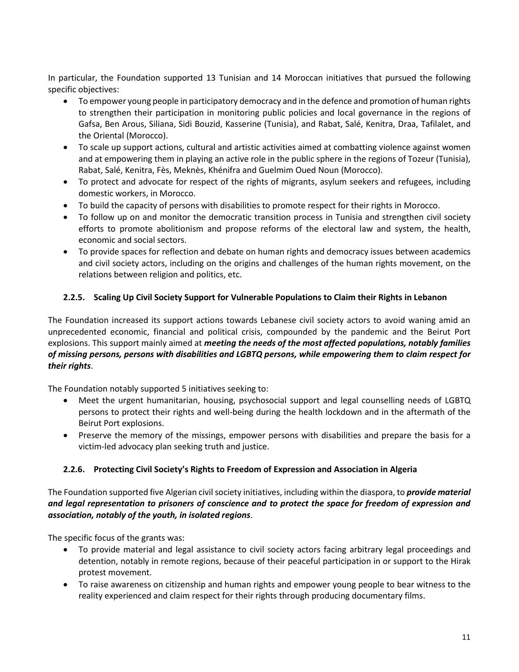In particular, the Foundation supported 13 Tunisian and 14 Moroccan initiatives that pursued the following specific objectives:

- To empower young people in participatory democracy and in the defence and promotion of human rights to strengthen their participation in monitoring public policies and local governance in the regions of Gafsa, Ben Arous, Siliana, Sidi Bouzid, Kasserine (Tunisia), and Rabat, Salé, Kenitra, Draa, Tafilalet, and the Oriental (Morocco).
- To scale up support actions, cultural and artistic activities aimed at combatting violence against women and at empowering them in playing an active role in the public sphere in the regions of Tozeur (Tunisia), Rabat, Salé, Kenitra, Fès, Meknès, Khénifra and Guelmim Oued Noun (Morocco).
- To protect and advocate for respect of the rights of migrants, asylum seekers and refugees, including domestic workers, in Morocco.
- To build the capacity of persons with disabilities to promote respect for their rights in Morocco.
- To follow up on and monitor the democratic transition process in Tunisia and strengthen civil society efforts to promote abolitionism and propose reforms of the electoral law and system, the health, economic and social sectors.
- To provide spaces for reflection and debate on human rights and democracy issues between academics and civil society actors, including on the origins and challenges of the human rights movement, on the relations between religion and politics, etc.

#### **2.2.5. Scaling Up Civil Society Support for Vulnerable Populations to Claim their Rights in Lebanon**

The Foundation increased its support actions towards Lebanese civil society actors to avoid waning amid an unprecedented economic, financial and political crisis, compounded by the pandemic and the Beirut Port explosions. This support mainly aimed at *meeting the needs of the most affected populations, notably families of missing persons, persons with disabilities and LGBTQ persons, while empowering them to claim respect for their rights*.

The Foundation notably supported 5 initiatives seeking to:

- Meet the urgent humanitarian, housing, psychosocial support and legal counselling needs of LGBTQ persons to protect their rights and well-being during the health lockdown and in the aftermath of the Beirut Port explosions.
- Preserve the memory of the missings, empower persons with disabilities and prepare the basis for a victim-led advocacy plan seeking truth and justice.

#### **2.2.6. Protecting Civil Society's Rights to Freedom of Expression and Association in Algeria**

The Foundation supported five Algerian civil society initiatives, including within the diaspora, to *provide material and legal representation to prisoners of conscience and to protect the space for freedom of expression and association, notably of the youth, in isolated regions*.

The specific focus of the grants was:

- To provide material and legal assistance to civil society actors facing arbitrary legal proceedings and detention, notably in remote regions, because of their peaceful participation in or support to the Hirak protest movement.
- To raise awareness on citizenship and human rights and empower young people to bear witness to the reality experienced and claim respect for their rights through producing documentary films.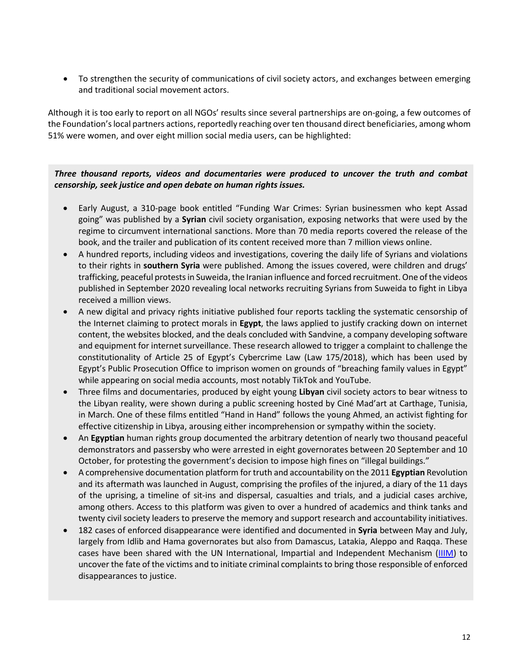• To strengthen the security of communications of civil society actors, and exchanges between emerging and traditional social movement actors.

Although it is too early to report on all NGOs' results since several partnerships are on-going, a few outcomes of the Foundation's local partners actions, reportedly reaching over ten thousand direct beneficiaries, among whom 51% were women, and over eight million social media users, can be highlighted:

#### *Three thousand reports, videos and documentaries were produced to uncover the truth and combat censorship, seek justice and open debate on human rights issues.*

- Early August, a 310-page book entitled "Funding War Crimes: Syrian businessmen who kept Assad going" was published by a **Syrian** civil society organisation, exposing networks that were used by the regime to circumvent international sanctions. More than 70 media reports covered the release of the book, and the trailer and publication of its content received more than 7 million views online.
- A hundred reports, including videos and investigations, covering the daily life of Syrians and violations to their rights in **southern Syria** were published. Among the issues covered, were children and drugs' trafficking, peaceful protests in Suweida, the Iranian influence and forced recruitment. One of the videos published in September 2020 revealing local networks recruiting Syrians from Suweida to fight in Libya received a million views.
- A new digital and privacy rights initiative published four reports tackling the systematic censorship of the Internet claiming to protect morals in **Egypt**, the laws applied to justify cracking down on internet content, the websites blocked, and the deals concluded with Sandvine, a company developing software and equipment for internet surveillance. These research allowed to trigger a complaint to challenge the constitutionality of Article 25 of Egypt's Cybercrime Law (Law 175/2018), which has been used by Egypt's Public Prosecution Office to imprison women on grounds of "breaching family values in Egypt" while appearing on social media accounts, most notably TikTok and YouTube.
- Three films and documentaries, produced by eight young **Libyan** civil society actors to bear witness to the Libyan reality, were shown during a public screening hosted by Ciné Mad'art at Carthage, Tunisia, in March. One of these films entitled "Hand in Hand" follows the young Ahmed, an activist fighting for effective citizenship in Libya, arousing either incomprehension or sympathy within the society.
- An **Egyptian** human rights group documented the arbitrary detention of nearly two thousand peaceful demonstrators and passersby who were arrested in eight governorates between 20 September and 10 October, for protesting the government's decision to impose high fines on "illegal buildings."
- A comprehensive documentation platform for truth and accountability on the 2011 **Egyptian** Revolution and its aftermath was launched in August, comprising the profiles of the injured, a diary of the 11 days of the uprising, a timeline of sit-ins and dispersal, casualties and trials, and a judicial cases archive, among others. Access to this platform was given to over a hundred of academics and think tanks and twenty civil society leaders to preserve the memory and support research and accountability initiatives.
- 182 cases of enforced disappearance were identified and documented in **Syria** between May and July, largely from Idlib and Hama governorates but also from Damascus, Latakia, Aleppo and Raqqa. These cases have been shared with the UN International, Impartial and Independent Mechanism [\(IIIM\)](https://iiim.un.org/) to uncover the fate of the victims and to initiate criminal complaints to bring those responsible of enforced disappearances to justice.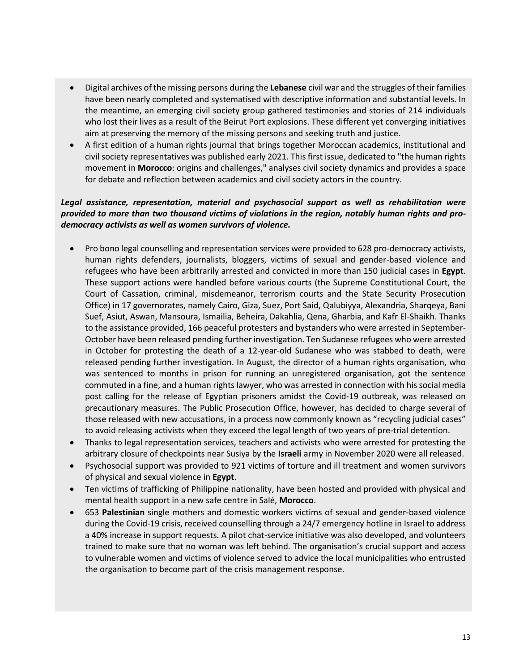- Digital archives of the missing persons during the **Lebanese** civil war and the struggles of their families have been nearly completed and systematised with descriptive information and substantial levels. In the meantime, an emerging civil society group gathered testimonies and stories of 214 individuals who lost their lives as a result of the Beirut Port explosions. These different yet converging initiatives aim at preserving the memory of the missing persons and seeking truth and justice.
- A first edition of a human rights journal that brings together Moroccan academics, institutional and civil society representatives was published early 2021. This first issue, dedicated to "the human rights movement in **Morocco**: origins and challenges," analyses civil society dynamics and provides a space for debate and reflection between academics and civil society actors in the country.

#### *Legal assistance, representation, material and psychosocial support as well as rehabilitation were provided to more than two thousand victims of violations in the region, notably human rights and prodemocracy activists as well as women survivors of violence.*

- Pro bono legal counselling and representation services were provided to 628 pro-democracy activists, human rights defenders, journalists, bloggers, victims of sexual and gender-based violence and refugees who have been arbitrarily arrested and convicted in more than 150 judicial cases in **Egypt**. These support actions were handled before various courts (the Supreme Constitutional Court, the Court of Cassation, criminal, misdemeanor, terrorism courts and the State Security Prosecution Office) in 17 governorates, namely Cairo, Giza, Suez, Port Said, Qalubiyya, Alexandria, Sharqeya, Bani Suef, Asiut, Aswan, Mansoura, Ismailia, Beheira, Dakahlia, Qena, Gharbia, and Kafr El-Shaikh. Thanks to the assistance provided, 166 peaceful protesters and bystanders who were arrested in September-October have been released pending further investigation. Ten Sudanese refugees who were arrested in October for protesting the death of a 12-year-old Sudanese who was stabbed to death, were released pending further investigation. In August, the director of a human rights organisation, who was sentenced to months in prison for running an unregistered organisation, got the sentence commuted in a fine, and a human rights lawyer, who was arrested in connection with his social media post calling for the release of Egyptian prisoners amidst the Covid-19 outbreak, was released on precautionary measures. The Public Prosecution Office, however, has decided to charge several of those released with new accusations, in a process now commonly known as "recycling judicial cases" to avoid releasing activists when they exceed the legal length of two years of pre-trial detention.
- Thanks to legal representation services, teachers and activists who were arrested for protesting the arbitrary closure of checkpoints near Susiya by the **Israeli** army in November 2020 were all released.
- Psychosocial support was provided to 921 victims of torture and ill treatment and women survivors of physical and sexual violence in **Egypt**.
- Ten victims of trafficking of Philippine nationality, have been hosted and provided with physical and mental health support in a new safe centre in Salé, **Morocco**.
- 653 **Palestinian** single mothers and domestic workers victims of sexual and gender-based violence during the Covid-19 crisis, received counselling through a 24/7 emergency hotline in Israel to address a 40% increase in support requests. A pilot chat-service initiative was also developed, and volunteers trained to make sure that no woman was left behind. The organisation's crucial support and access to vulnerable women and victims of violence served to advice the local municipalities who entrusted the organisation to become part of the crisis management response.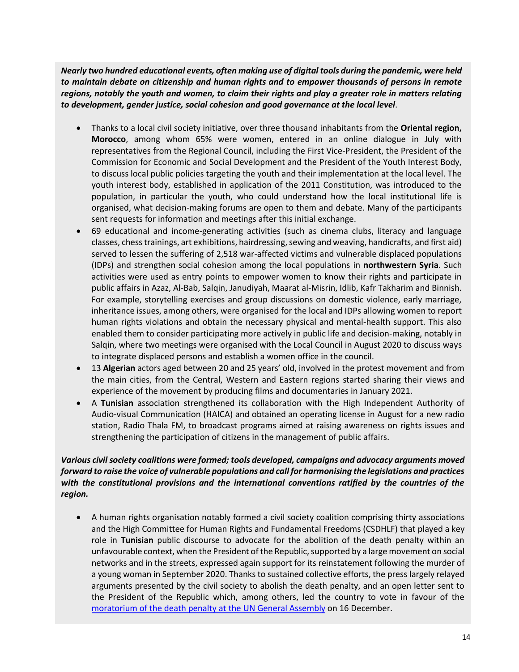*Nearly two hundred educational events, often making use of digital tools during the pandemic, were held to maintain debate on citizenship and human rights and to empower thousands of persons in remote regions, notably the youth and women, to claim their rights and play a greater role in matters relating to development, gender justice, social cohesion and good governance at the local level*.

- Thanks to a local civil society initiative, over three thousand inhabitants from the **Oriental region, Morocco**, among whom 65% were women, entered in an online dialogue in July with representatives from the Regional Council, including the First Vice-President, the President of the Commission for Economic and Social Development and the President of the Youth Interest Body, to discuss local public policies targeting the youth and their implementation at the local level. The youth interest body, established in application of the 2011 Constitution, was introduced to the population, in particular the youth, who could understand how the local institutional life is organised, what decision-making forums are open to them and debate. Many of the participants sent requests for information and meetings after this initial exchange.
- 69 educational and income-generating activities (such as cinema clubs, literacy and language classes, chess trainings, art exhibitions, hairdressing, sewing and weaving, handicrafts, and first aid) served to lessen the suffering of 2,518 war-affected victims and vulnerable displaced populations (IDPs) and strengthen social cohesion among the local populations in **northwestern Syria**. Such activities were used as entry points to empower women to know their rights and participate in public affairs in Azaz, Al-Bab, Salqin, Janudiyah, Maarat al-Misrin, Idlib, Kafr Takharim and Binnish. For example, storytelling exercises and group discussions on domestic violence, early marriage, inheritance issues, among others, were organised for the local and IDPs allowing women to report human rights violations and obtain the necessary physical and mental-health support. This also enabled them to consider participating more actively in public life and decision-making, notably in Salqin, where two meetings were organised with the Local Council in August 2020 to discuss ways to integrate displaced persons and establish a women office in the council.
- 13 **Algerian** actors aged between 20 and 25 years' old, involved in the protest movement and from the main cities, from the Central, Western and Eastern regions started sharing their views and experience of the movement by producing films and documentaries in January 2021.
- A **Tunisian** association strengthened its collaboration with the High Independent Authority of Audio-visual Communication (HAICA) and obtained an operating license in August for a new radio station, Radio Thala FM, to broadcast programs aimed at raising awareness on rights issues and strengthening the participation of citizens in the management of public affairs.

#### *Various civil society coalitions were formed; tools developed, campaigns and advocacy arguments moved forward to raise the voice of vulnerable populations and call for harmonising the legislations and practices with the constitutional provisions and the international conventions ratified by the countries of the region.*

• A human rights organisation notably formed a civil society coalition comprising thirty associations and the High Committee for Human Rights and Fundamental Freedoms (CSDHLF) that played a key role in **Tunisian** public discourse to advocate for the abolition of the death penalty within an unfavourable context, when the President of the Republic, supported by a large movement on social networks and in the streets, expressed again support for its reinstatement following the murder of a young woman in September 2020. Thanks to sustained collective efforts, the press largely relayed arguments presented by the civil society to abolish the death penalty, and an open letter sent to the President of the Republic which, among others, led the country to vote in favour of the [moratorium of the death penalty at the](https://www.passblue.com/2020/12/17/many-countries-cheer-gains-to-ending-the-death-penalty-globally-but-foes-harden-their-stance/) UN General Assembly on 16 December.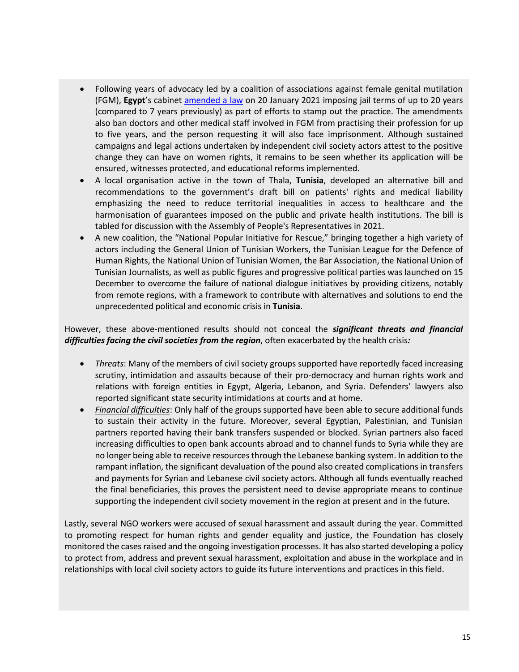- Following years of advocacy led by a coalition of associations against female genital mutilation (FGM), **Egypt**'s cabinet [amended a law](https://www.reuters.com/article/egypt-women-law/egypts-cabinet-toughens-law-banning-female-genital-mutilation-idUSL8N2JW26Z) on 20 January 2021 imposing jail terms of up to 20 years (compared to 7 years previously) as part of efforts to stamp out the practice. The amendments also ban doctors and other medical staff involved in FGM from practising their profession for up to five years, and the person requesting it will also face imprisonment. Although sustained campaigns and legal actions undertaken by independent civil society actors attest to the positive change they can have on women rights, it remains to be seen whether its application will be ensured, witnesses protected, and educational reforms implemented.
- A local organisation active in the town of Thala, **Tunisia**, developed an alternative bill and recommendations to the government's draft bill on patients' rights and medical liability emphasizing the need to reduce territorial inequalities in access to healthcare and the harmonisation of guarantees imposed on the public and private health institutions. The bill is tabled for discussion with the Assembly of People's Representatives in 2021.
- A new coalition, the "National Popular Initiative for Rescue," bringing together a high variety of actors including the General Union of Tunisian Workers, the Tunisian League for the Defence of Human Rights, the National Union of Tunisian Women, the Bar Association, the National Union of Tunisian Journalists, as well as public figures and progressive political parties was launched on 15 December to overcome the failure of national dialogue initiatives by providing citizens, notably from remote regions, with a framework to contribute with alternatives and solutions to end the unprecedented political and economic crisis in **Tunisia**.

However, these above-mentioned results should not conceal the *significant threats and financial difficulties facing the civil societies from the region*, often exacerbated by the health crisis*:*

- *Threats*: Many of the members of civil society groups supported have reportedly faced increasing scrutiny, intimidation and assaults because of their pro-democracy and human rights work and relations with foreign entities in Egypt, Algeria, Lebanon, and Syria. Defenders' lawyers also reported significant state security intimidations at courts and at home.
- *Financial difficulties*: Only half of the groups supported have been able to secure additional funds to sustain their activity in the future. Moreover, several Egyptian, Palestinian, and Tunisian partners reported having their bank transfers suspended or blocked. Syrian partners also faced increasing difficulties to open bank accounts abroad and to channel funds to Syria while they are no longer being able to receive resources through the Lebanese banking system. In addition to the rampant inflation, the significant devaluation of the pound also created complications in transfers and payments for Syrian and Lebanese civil society actors. Although all funds eventually reached the final beneficiaries, this proves the persistent need to devise appropriate means to continue supporting the independent civil society movement in the region at present and in the future.

Lastly, several NGO workers were accused of sexual harassment and assault during the year. Committed to promoting respect for human rights and gender equality and justice, the Foundation has closely monitored the cases raised and the ongoing investigation processes. It has also started developing a policy to protect from, address and prevent sexual harassment, exploitation and abuse in the workplace and in relationships with local civil society actors to guide its future interventions and practices in this field.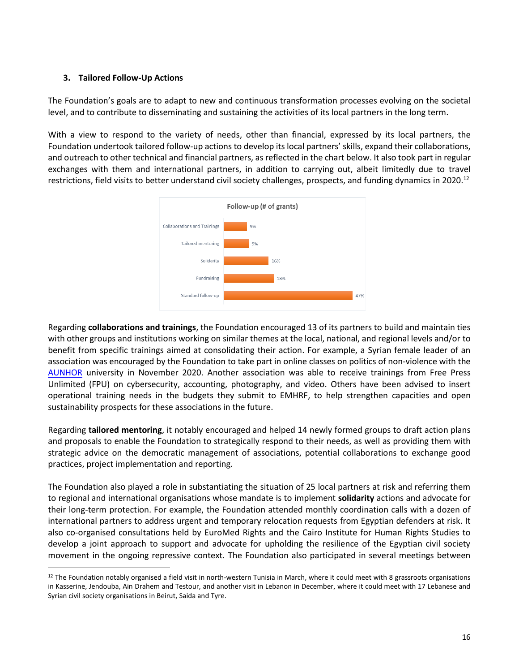#### <span id="page-15-0"></span>**3. Tailored Follow-Up Actions**

The Foundation's goals are to adapt to new and continuous transformation processes evolving on the societal level, and to contribute to disseminating and sustaining the activities of its local partners in the long term.

With a view to respond to the variety of needs, other than financial, expressed by its local partners, the Foundation undertook tailored follow-up actions to develop its local partners' skills, expand their collaborations, and outreach to other technical and financial partners, as reflected in the chart below. It also took part in regular exchanges with them and international partners, in addition to carrying out, albeit limitedly due to travel restrictions, field visits to better understand civil society challenges, prospects, and funding dynamics in 2020.<sup>12</sup>



Regarding **collaborations and trainings**, the Foundation encouraged 13 of its partners to build and maintain ties with other groups and institutions working on similar themes at the local, national, and regional levels and/or to benefit from specific trainings aimed at consolidating their action. For example, a Syrian female leader of an association was encouraged by the Foundation to take part in online classes on politics of non-violence with the [AUNHOR](https://www.aunohr.edu.lb/en/index.php) university in November 2020. Another association was able to receive trainings from Free Press Unlimited (FPU) on cybersecurity, accounting, photography, and video. Others have been advised to insert operational training needs in the budgets they submit to EMHRF, to help strengthen capacities and open sustainability prospects for these associations in the future.

Regarding **tailored mentoring**, it notably encouraged and helped 14 newly formed groups to draft action plans and proposals to enable the Foundation to strategically respond to their needs, as well as providing them with strategic advice on the democratic management of associations, potential collaborations to exchange good practices, project implementation and reporting.

The Foundation also played a role in substantiating the situation of 25 local partners at risk and referring them to regional and international organisations whose mandate is to implement **solidarity** actions and advocate for their long-term protection. For example, the Foundation attended monthly coordination calls with a dozen of international partners to address urgent and temporary relocation requests from Egyptian defenders at risk. It also co-organised consultations held by EuroMed Rights and the Cairo Institute for Human Rights Studies to develop a joint approach to support and advocate for upholding the resilience of the Egyptian civil society movement in the ongoing repressive context. The Foundation also participated in several meetings between

 $12$  The Foundation notably organised a field visit in north-western Tunisia in March, where it could meet with 8 grassroots organisations in Kasserine, Jendouba, Ain Drahem and Testour, and another visit in Lebanon in December, where it could meet with 17 Lebanese and Syrian civil society organisations in Beirut, Saida and Tyre.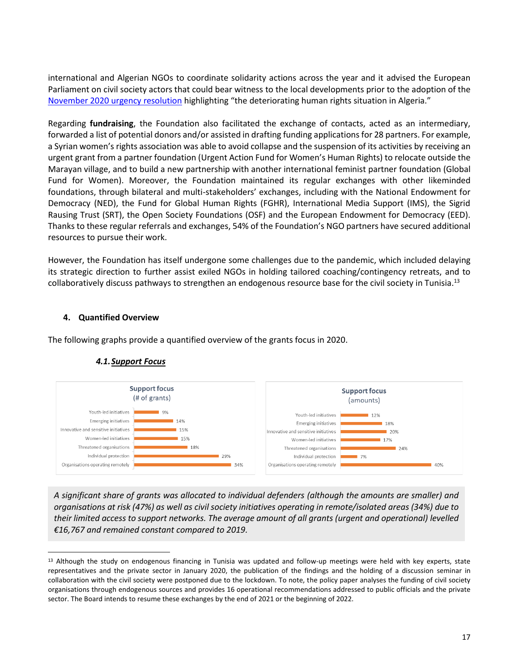international and Algerian NGOs to coordinate solidarity actions across the year and it advised the European Parliament on civil society actors that could bear witness to the local developments prior to the adoption of the [November 2020 urgency resolution](https://www.amnesty.org/en/latest/news/2020/11/algeria-european-parliament-calls-for-action-on-human-rights-and-expresses-solidarity-with-demonstrators/) highlighting "the deteriorating human rights situation in Algeria."

Regarding **fundraising**, the Foundation also facilitated the exchange of contacts, acted as an intermediary, forwarded a list of potential donors and/or assisted in drafting funding applications for 28 partners. For example, a Syrian women's rights association was able to avoid collapse and the suspension of its activities by receiving an urgent grant from a partner foundation (Urgent Action Fund for Women's Human Rights) to relocate outside the Marayan village, and to build a new partnership with another international feminist partner foundation (Global Fund for Women). Moreover, the Foundation maintained its regular exchanges with other likeminded foundations, through bilateral and multi-stakeholders' exchanges, including with the National Endowment for Democracy (NED), the Fund for Global Human Rights (FGHR), International Media Support (IMS), the Sigrid Rausing Trust (SRT), the Open Society Foundations (OSF) and the European Endowment for Democracy (EED). Thanks to these regular referrals and exchanges, 54% of the Foundation's NGO partners have secured additional resources to pursue their work.

However, the Foundation has itself undergone some challenges due to the pandemic, which included delaying its strategic direction to further assist exiled NGOs in holding tailored coaching/contingency retreats, and to collaboratively discuss pathways to strengthen an endogenous resource base for the civil society in Tunisia.<sup>13</sup>

#### <span id="page-16-0"></span>**4. Quantified Overview**

<span id="page-16-1"></span>The following graphs provide a quantified overview of the grants focus in 2020.



### *4.1.Support Focus*

*A significant share of grants was allocated to individual defenders (although the amounts are smaller) and organisations at risk (47%) as well as civil society initiatives operating in remote/isolated areas (34%) due to their limited access to support networks. The average amount of all grants (urgent and operational) levelled €16,767 and remained constant compared to 2019.*

<sup>&</sup>lt;sup>13</sup> Although the study on endogenous financing in Tunisia was updated and follow-up meetings were held with key experts, state representatives and the private sector in January 2020, the publication of the findings and the holding of a discussion seminar in collaboration with the civil society were postponed due to the lockdown. To note, the policy paper analyses the funding of civil society organisations through endogenous sources and provides 16 operational recommendations addressed to public officials and the private sector. The Board intends to resume these exchanges by the end of 2021 or the beginning of 2022.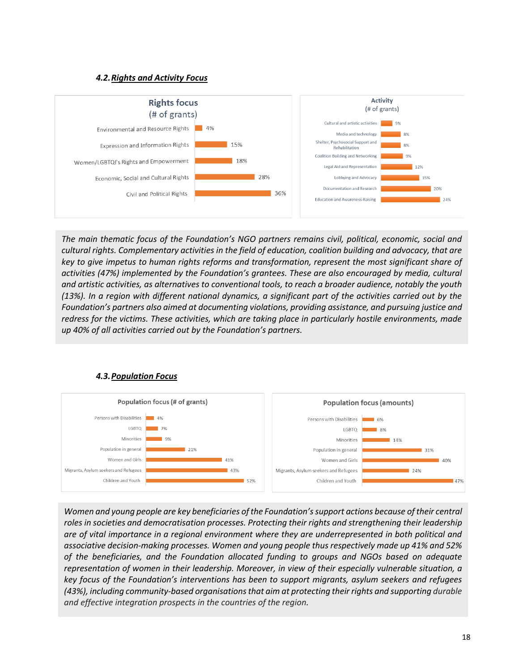#### *4.2.Rights and Activity Focus*

<span id="page-17-0"></span>

*The main thematic focus of the Foundation's NGO partners remains civil, political, economic, social and cultural rights. Complementary activities in the field of education, coalition building and advocacy, that are key to give impetus to human rights reforms and transformation, represent the most significant share of activities (47%) implemented by the Foundation's grantees. These are also encouraged by media, cultural and artistic activities, as alternatives to conventional tools, to reach a broader audience, notably the youth (13%). In a region with different national dynamics, a significant part of the activities carried out by the Foundation's partners also aimed at documenting violations, providing assistance, and pursuing justice and redress for the victims. These activities, which are taking place in particularly hostile environments, made up 40% of all activities carried out by the Foundation's partners.*

<span id="page-17-1"></span>

#### *4.3.Population Focus*

*Women and young people are key beneficiaries of the Foundation's support actions because of their central roles in societies and democratisation processes. Protecting their rights and strengthening their leadership are of vital importance in a regional environment where they are underrepresented in both political and associative decision-making processes. Women and young people thus respectively made up 41% and 52% of the beneficiaries, and the Foundation allocated funding to groups and NGOs based on adequate representation of women in their leadership. Moreover, in view of their especially vulnerable situation, a key focus of the Foundation's interventions has been to support migrants, asylum seekers and refugees (43%), including community-based organisations that aim at protecting their rights and supporting durable and effective integration prospects in the countries of the region.*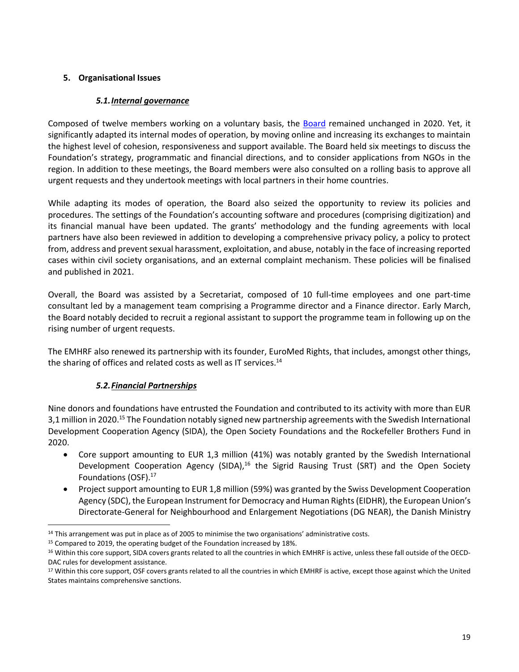#### <span id="page-18-0"></span>**5. Organisational Issues**

#### *5.1.Internal governance*

<span id="page-18-1"></span>Composed of twelve members working on a voluntary basis, the [Board](http://emhrf.org/board-2/) remained unchanged in 2020. Yet, it significantly adapted its internal modes of operation, by moving online and increasing its exchanges to maintain the highest level of cohesion, responsiveness and support available. The Board held six meetings to discuss the Foundation's strategy, programmatic and financial directions, and to consider applications from NGOs in the region. In addition to these meetings, the Board members were also consulted on a rolling basis to approve all urgent requests and they undertook meetings with local partners in their home countries.

While adapting its modes of operation, the Board also seized the opportunity to review its policies and procedures. The settings of the Foundation's accounting software and procedures (comprising digitization) and its financial manual have been updated. The grants' methodology and the funding agreements with local partners have also been reviewed in addition to developing a comprehensive privacy policy, a policy to protect from, address and prevent sexual harassment, exploitation, and abuse, notably in the face of increasing reported cases within civil society organisations, and an external complaint mechanism. These policies will be finalised and published in 2021.

Overall, the Board was assisted by a Secretariat, composed of 10 full-time employees and one part-time consultant led by a management team comprising a Programme director and a Finance director. Early March, the Board notably decided to recruit a regional assistant to support the programme team in following up on the rising number of urgent requests.

The EMHRF also renewed its partnership with its founder, EuroMed Rights, that includes, amongst other things, the sharing of offices and related costs as well as IT services.<sup>14</sup>

#### *5.2.Financial Partnerships*

<span id="page-18-2"></span>Nine donors and foundations have entrusted the Foundation and contributed to its activity with more than EUR 3,1 million in 2020.<sup>15</sup> The Foundation notably signed new partnership agreements with the Swedish International Development Cooperation Agency (SIDA), the Open Society Foundations and the Rockefeller Brothers Fund in 2020.

- Core support amounting to EUR 1,3 million (41%) was notably granted by the Swedish International Development Cooperation Agency (SIDA),<sup>16</sup> the Sigrid Rausing Trust (SRT) and the Open Society Foundations (OSF).<sup>17</sup>
- Project support amounting to EUR 1,8 million (59%) was granted by the Swiss Development Cooperation Agency (SDC), the European Instrument for Democracy and Human Rights (EIDHR), the European Union's Directorate-General for Neighbourhood and Enlargement Negotiations (DG NEAR), the Danish Ministry

<sup>15</sup> Compared to 2019, the operating budget of the Foundation increased by 18%.

<sup>&</sup>lt;sup>14</sup> This arrangement was put in place as of 2005 to minimise the two organisations' administrative costs.

<sup>16</sup> Within this core support, SIDA covers grants related to all the countries in which EMHRF is active, unless these fall outside of the OECD-DAC rules for development assistance.

<sup>&</sup>lt;sup>17</sup> Within this core support, OSF covers grants related to all the countries in which EMHRF is active, except those against which the United States maintains comprehensive sanctions.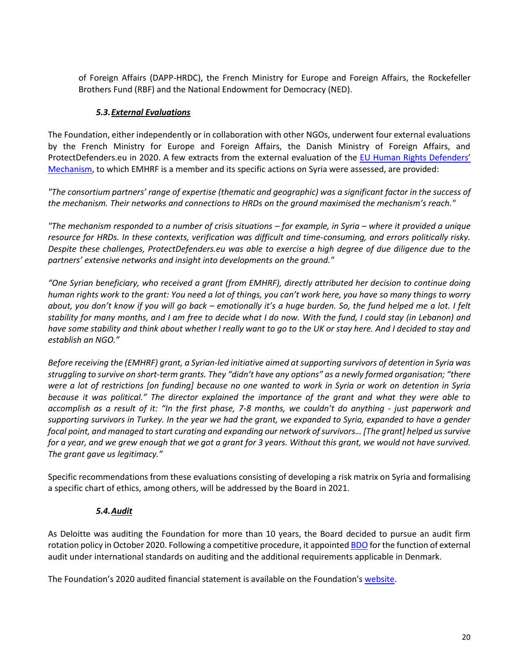of Foreign Affairs (DAPP-HRDC), the French Ministry for Europe and Foreign Affairs, the Rockefeller Brothers Fund (RBF) and the National Endowment for Democracy (NED).

#### *5.3.External Evaluations*

<span id="page-19-0"></span>The Foundation, either independently or in collaboration with other NGOs, underwent four external evaluations by the French Ministry for Europe and Foreign Affairs, the Danish Ministry of Foreign Affairs, and ProtectDefenders.eu in 2020. A few extracts from the external evaluation of the [EU Human Rights Defenders'](https://protectdefenders.eu/)  [Mechanism,](https://protectdefenders.eu/) to which EMHRF is a member and its specific actions on Syria were assessed, are provided:

*"The consortium partners' range of expertise (thematic and geographic) was a significant factor in the success of the mechanism. Their networks and connections to HRDs on the ground maximised the mechanism's reach."*

*"The mechanism responded to a number of crisis situations – for example, in Syria – where it provided a unique resource for HRDs. In these contexts, verification was difficult and time-consuming, and errors politically risky. Despite these challenges, ProtectDefenders.eu was able to exercise a high degree of due diligence due to the partners' extensive networks and insight into developments on the ground."* 

*"One Syrian beneficiary, who received a grant (from EMHRF), directly attributed her decision to continue doing human rights work to the grant: You need a lot of things, you can't work here, you have so many things to worry about, you don't know if you will go back – emotionally it's a huge burden. So, the fund helped me a lot. I felt stability for many months, and I am free to decide what I do now. With the fund, I could stay (in Lebanon) and*  have some stability and think about whether I really want to go to the UK or stay here. And I decided to stay and *establish an NGO."*

*Before receiving the (EMHRF) grant, a Syrian-led initiative aimed at supporting survivors of detention in Syria was struggling to survive on short-term grants. They "didn't have any options" as a newly formed organisation; "there were a lot of restrictions [on funding] because no one wanted to work in Syria or work on detention in Syria because it was political." The director explained the importance of the grant and what they were able to accomplish as a result of it: "In the first phase, 7-8 months, we couldn't do anything - just paperwork and supporting survivors in Turkey. In the year we had the grant, we expanded to Syria, expanded to have a gender focal point, and managed to start curating and expanding our network of survivors… [The grant] helped us survive for a year, and we grew enough that we got a grant for 3 years. Without this grant, we would not have survived. The grant gave us legitimacy."*

Specific recommendations from these evaluations consisting of developing a risk matrix on Syria and formalising a specific chart of ethics, among others, will be addressed by the Board in 2021.

#### *5.4.Audit*

<span id="page-19-1"></span>As Deloitte was auditing the Foundation for more than 10 years, the Board decided to pursue an audit firm rotation policy in October 2020. Following a competitive procedure, it appointe[d BDO](https://www.bdo.dk/en-gb/home-en) for the function of external audit under international standards on auditing and the additional requirements applicable in Denmark.

The Foundation's 2020 audited financial statement is available on the Foundation's [website.](http://www.emhrf.org/)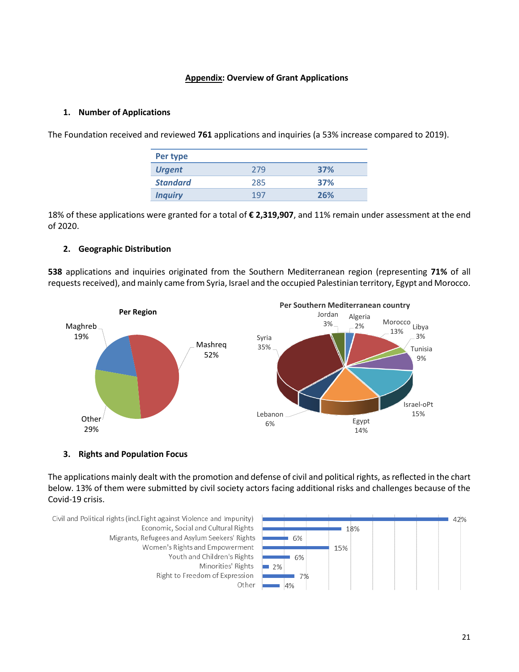#### **Appendix: Overview of Grant Applications**

#### <span id="page-20-0"></span>**1. Number of Applications**

The Foundation received and reviewed **761** applications and inquiries (a 53% increase compared to 2019).

| Per type        |     |     |
|-----------------|-----|-----|
| <b>Urgent</b>   | 279 | 37% |
| <b>Standard</b> | 285 | 37% |
| <b>Inquiry</b>  | 19. | 26% |

18% of these applications were granted for a total of **€ 2,319,907**, and 11% remain under assessment at the end of 2020.

#### **2. Geographic Distribution**

**538** applications and inquiries originated from the Southern Mediterranean region (representing **71%** of all requests received), and mainly came from Syria, Israel and the occupied Palestinian territory, Egypt and Morocco.



#### **3. Rights and Population Focus**

The applications mainly dealt with the promotion and defense of civil and political rights, as reflected in the chart below. 13% of them were submitted by civil society actors facing additional risks and challenges because of the Covid-19 crisis.